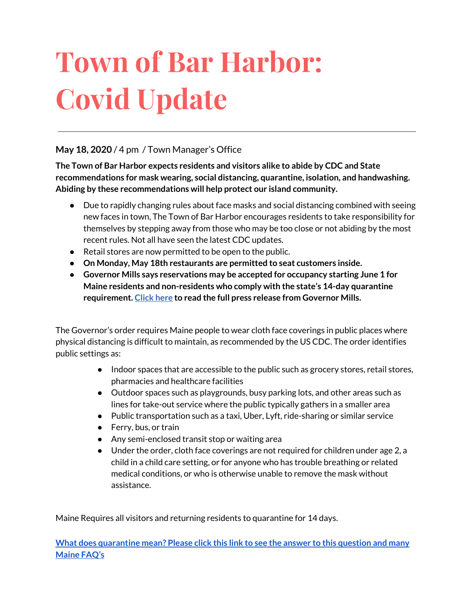# **Town of Bar Harbor: Covid Update**

#### **May 18, 2020** / 4 pm / Town Manager's Office

**The Town of Bar Harbor expects residents and visitors alike to abide by CDC and State recommendations for mask wearing, social distancing, quarantine, isolation, and handwashing. Abiding by these recommendations will help protect our island community.**

- Due to rapidly changing rules about face masks and social distancing combined with seeing new faces in town, The Town of Bar Harbor encourages residents to take responsibility for themselves by stepping away from those who may be too close or not abiding by the most recent rules. Not all have seen the latest CDC updates.
- Retail stores are now permitted to be open to the public.
- **● On Monday, May 18th restaurants are permitted to seat customers inside.**
- **● Governor Mills says reservations may be accepted for occupancy starting June 1 for Maine residents and non-residents who comply with the state's 14-day quarantine requirement. [Click](http://r20.rs6.net/tn.jsp?f=001gB9til_fx4w7nvjzESddOn4bZaqAGzdDyIEy097v0dBYqPQcdjRepSlWubnJiliWykVd8xltfaA07f9BQ6xv5ifOwJVlNMXhjETcC-rke9jDV4OkMTtHnjkRzx1qc1AuS23XwQ2XTinmFkEoRoJ4qqRZHASbTSwRwdj0F88dSeiCghSWPbPvRFWxMyVeQs3dcKQXA0O4Mh0OQTvhtXLneM1Lbxix6PjG3slQwKnkde1Du4XlY5qtouwLDMZDoF_dUQbNhztc6P7heDo42stjIA==&c=GV80uf24ip3gZvQKEozeMbyQn8nDH-DzBYaQB2SENXvHxqb8iwEK5w==&ch=C1320ou85N1eVcHVOSrS_YuBBpfyW3yMIv_-oxqFYkPp04VLTtwgVw==) here to read the full press release from Governor Mills.**

The Governor's order requires Maine people to wear cloth face coverings in public places where physical distancing is difficult to maintain, as recommended by the US CDC. The order identifies public settings as:

- Indoor spaces that are accessible to the public such as grocery stores, retail stores, pharmacies and healthcare facilities
- Outdoor spaces such as playgrounds, busy parking lots, and other areas such as lines for take-out service where the public typically gathers in a smaller area
- Public transportation such as a taxi, Uber, Lyft, ride-sharing or similar service
- Ferry, bus, or train
- Any semi-enclosed transit stop or waiting area
- Under the order, cloth face coverings are not required for children under age 2, a child in a child care setting, or for anyone who has trouble breathing or related medical conditions, or who is otherwise unable to remove the mask without assistance.

Maine Requires all visitors and returning residents to quarantine for 14 days.

**What does [quarantine](https://www.maine.gov/dhhs/mecdc/infectious-disease/epi/airborne/coronavirus.shtml#faq) mean? Please click this link to see the answer to this question and many [Maine](https://www.maine.gov/dhhs/mecdc/infectious-disease/epi/airborne/coronavirus.shtml#faq) FAQ's**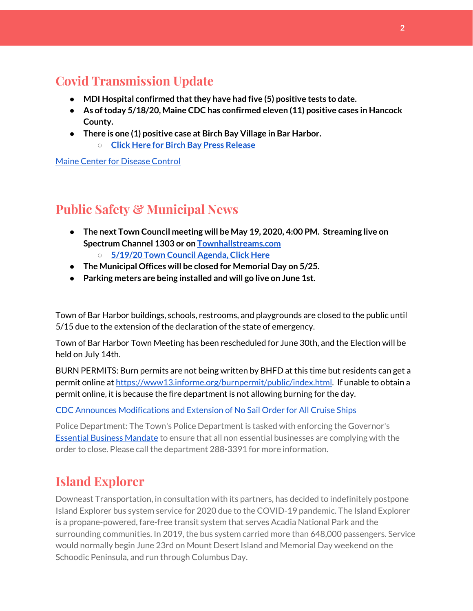## **Covid Transmission Update**

- **● MDI Hospital confirmed thatthey have had five (5) positive tests to date.**
- **● As oftoday 5/18/20, Maine CDC has confirmed eleven (11) positive cases in Hancock County.**
- **● There is one (1) positive case at Birch Bay Village in Bar Harbor.**
	- **○ Click Here for Birch Bay Press [Release](https://www.birchbayvillage.us/category/coronavirus/)**

Maine Center for [Disease](https://www.maine.gov/dhhs/mecdc/infectious-disease/epi/airborne/coronavirus.shtml) Control

## **Public Safety & Municipal News**

- **● The next Town Council meeting will be May 19, 2020, 4:00 PM. Streaming live on Spectrum Channel 1303 or on [Townhallstreams.com](http://townhallstreams.com/) ○ [5/19/20](http://www.barharbormaine.gov/126/Town-Council) Town Council Agenda, Click Here**
- **● The Municipal Offices will be closed for Memorial Day on 5/25.**
- **● Parking meters are being installed and will go live on June 1st.**

Town of Bar Harbor buildings, schools, restrooms, and playgrounds are closed to the public until 5/15 due to the extension of the declaration of the state of emergency.

Town of Bar Harbor Town Meeting has been rescheduled for June 30th, and the Election will be held on July 14th.

BURN PERMITS: Burn permits are not being written by BHFD at this time but residents can get a permit online at [https://www13.informe.org/burnpermit/public/index.html.](https://www13.informe.org/burnpermit/public/index.html) If unable to obtain a permit online, it is because the fire department is not allowing burning for the day.

CDC Announces [Modifications](https://www.cdc.gov/media/releases/2020/s0409-modifications-extension-no-sail-ships.html) and Extension of No Sail Order for All Cruise Ships

Police Department: The Town's Police Department is tasked with enforcing the Governor's Essential Business [Mandate](https://www.maine.gov/governor/mills/sites/maine.gov.governor.mills/files/inline-files/An%20Order%20Regarding%20Essential%20Businesses%20and%20Operations%20.pdf) to ensure that all non essential businesses are complying with the order to close. Please call the department 288-3391 for more information.

## **Island Explorer**

Downeast Transportation, in consultation with its partners, has decided to indefinitely postpone Island Explorer bus system service for 2020 due to the COVID-19 pandemic. The Island Explorer is a propane-powered, fare-free transit system that serves Acadia National Park and the surrounding communities. In 2019, the bus system carried more than 648,000 passengers. Service would normally begin June 23rd on Mount Desert Island and Memorial Day weekend on the Schoodic Peninsula, and run through Columbus Day.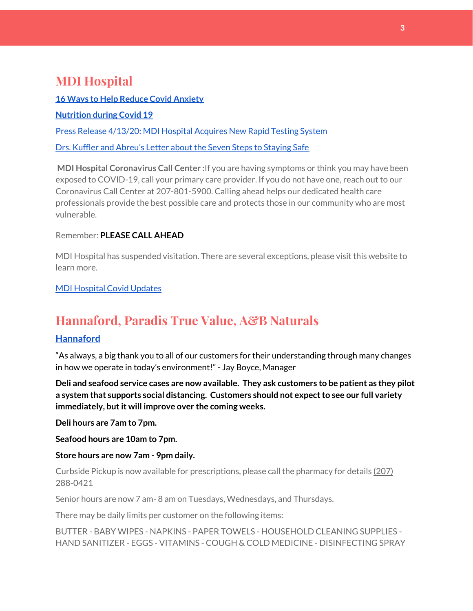## **MDI Hospital**

**16 Ways to Help Reduce Covid [Anxiety](https://www.mdihospital.org/news/16-ways-to-help-reduce-covid-19-anxiety/) [Nutrition](https://www.mdihospital.org/news/16-ways-to-help-reduce-covid-19-anxiety/) during Covid 19** Press Release [4/13/20:](https://www.mdihospital.org/news/mount-desert-island-hospital-acquires-cepheid-genexpert-rapid-point-of-care-testing-system-for-the-new-coronavirus-and-many-other-infectious-diseases/) MDI Hospital Acquires New Rapid Testing System Drs. Kuffler and [Abreu's](https://www.mdislander.com/opinions/commentary-seven-steps-to-staying-safe) Letter about the Seven Steps to Staying Safe

**MDI Hospital Coronavirus Call Center :**If you are having symptoms or think you may have been exposed to COVID-19, call your primary care provider. If you do not have one, reach out to our Coronavirus Call Center at 207-801-5900. Calling ahead helps our dedicated health care professionals provide the best possible care and protects those in our community who are most vulnerable.

#### Remember: **PLEASE CALL AHEAD**

MDI Hospital has suspended visitation. There are several exceptions, please visit this website to learn more.

MDI [Hospital](https://www.mdihospital.org/covid-19/?fbclid=IwAR2Q31t4a6H1pxDfUeqSzFcmp5UbRlSwe93i58zEkHstfexp5EgoHB5cxGU) Covid Updates

## **Hannaford, Paradis True Value, A&B Naturals**

#### **[Hannaford](https://www.hannaford.com/locations/bar-harbor-hannaford-21051)**

"As always, a big thank you to all of our customers for their understanding through many changes in how we operate in today's environment!" - Jay Boyce, Manager

**Deli and seafood service cases are now available. They ask customers to be patient as they pilot a system that supports social distancing. Customers should not expectto see our full variety immediately, butit will improve over the coming weeks.**

**Deli hours are 7am to 7pm.**

**Seafood hours are 10am to 7pm.**

#### **Store hours are now 7am - 9pm daily.**

Curbside Pickup is now available for prescriptions, please call the pharmacy for details [\(207\)](https://www.google.com/search?client=firefox-b-1-d&q=hannaford+pharmacy+bar+harbor#) [288-0421](https://www.google.com/search?client=firefox-b-1-d&q=hannaford+pharmacy+bar+harbor#)

Senior hours are now 7 am- 8 am on Tuesdays, Wednesdays, and Thursdays.

There may be daily limits per customer on the following items:

BUTTER - BABY WIPES - NAPKINS - PAPER TOWELS - HOUSEHOLD CLEANING SUPPLIES - HAND SANITIZER - EGGS - VITAMINS - COUGH & COLD MEDICINE - DISINFECTING SPRAY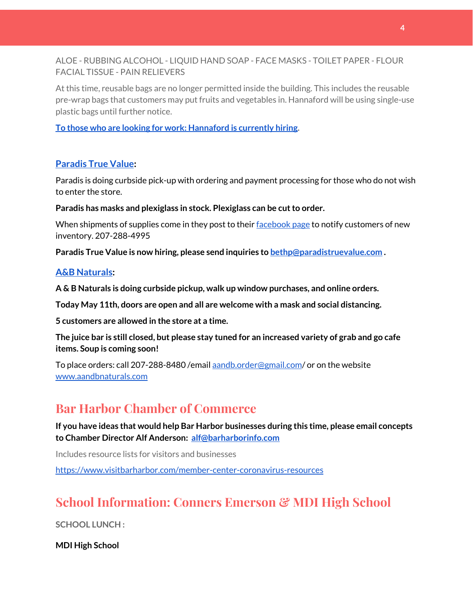ALOE - RUBBING ALCOHOL - LIQUID HAND SOAP - FACE MASKS - TOILET PAPER - FLOUR FACIAL TISSUE - PAIN RELIEVERS

At this time, reusable bags are no longer permitted inside the building. This includes the reusable pre-wrap bags that customers may put fruits and vegetables in. Hannaford will be using single-use plastic bags until further notice.

**To those who are looking for work: [Hannaford](https://www.hannaford.com/about-us/careers) is currently hiring.**

#### **[Paradis](https://www.facebook.com/ParadisTrueValue/) True Value:**

Paradis is doing curbside pick-up with ordering and payment processing for those who do not wish to enter the store.

**Paradis has masks and plexiglass in stock. Plexiglass can be cutto order.**

When shipments of supplies come in they post to their [facebook](https://www.facebook.com/ParadisTrueValue/) page to notify customers of new inventory. 207-288-4995

**Paradis True Value is now hiring, please send inquiries to [bethp@paradistruevalue.com](mailto:bethp@paradistruevalue.com) .**

#### **A&B [Naturals:](http://aandbnaturals.com/)**

**A & B Naturals is doing curbside pickup, walk up window purchases, and online orders.**

**Today May 11th, doors are open and all are welcome with a mask and social distancing.**

**5 customers are allowed in the store at a time.**

The juice bar is still closed, but please stay tuned for an increased variety of grab and go cafe **items. Soup is coming soon!**

To place orders: call 207-288-8480/email [aandb.order@gmail.com](mailto:aandb.order@gmail.com)/ or on the website [www.aandbnaturals.com](http://www.aandbnaturals.com/)

## **Bar Harbor Chamber of Commerce**

**If you have ideas that would help Bar Harbor businesses during this time, please email concepts to Chamber Director Alf Anderson: [alf@barharborinfo.com](mailto:alf@barharborinfo.com)**

Includes resource lists for visitors and businesses

<https://www.visitbarharbor.com/member-center-coronavirus-resources>

## **School Information: Conners Emerson & MDI High School**

**SCHOOL LUNCH :**

**MDI High School**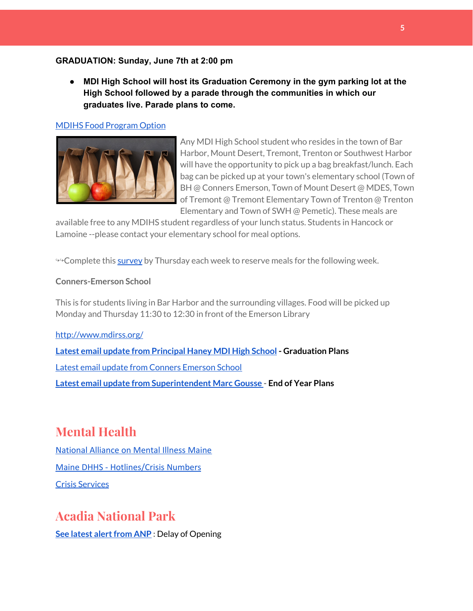#### **GRADUATION: Sunday, June 7th at 2:00 pm**

**● MDI High School will host its Graduation Ceremony in the gym parking lot at the High School followed by a parade through the communities in which our graduates live. Parade plans to come.**

#### MDIHS Food [Program](http://www.createsurvey.com/c/83380-7yUuuZ/) Option



Any MDI High School student who resides in the town of Bar Harbor, Mount Desert, Tremont, Trenton or Southwest Harbor will have the opportunity to pick up a bag breakfast/lunch. Each bag can be picked up at your town's elementary school (Town of BH @ Conners Emerson, Town of Mount Desert @ MDES, Town of Tremont @ Tremont Elementary Town of Trenton @ Trenton Elementary and Town of SWH @ Pemetic). These meals are

available free to any MDIHS student regardless of your lunch status. Students in Hancock or Lamoine --please contact your elementary school for meal options.

<sup>→→</sup>Complete this [survey](http://www.createsurvey.com/c/83380-7yUuuZ/) by Thursday each week to reserve meals for the following week.

#### **Conners-Emerson School**

This is for students living in Bar Harbor and the surrounding villages. Food will be picked up Monday and Thursday 11:30 to 12:30 in front of the Emerson Library

<http://www.mdirss.org/> **Latest email update from [Principal](https://docs.google.com/document/d/1OKDsYNtOgV0FI9xAcXwQvenOKLV0S2vBg1o5jtu5CrE/edit?usp=sharing) Haney MDI High School - Graduation Plans** Latest email update from Conners [Emerson](https://docs.google.com/document/d/1v3pgkG6Q-9S3gisuUIj4etPVDwgBKl4P00JBkvZr-kk/edit?usp=sharing) School **Latest email update from [Superintendent](https://docs.google.com/document/d/1fzeCbc8gpTSKmUaDoQH1Avx5PVl-h0reFphXrT1eUNA/edit?usp=sharing) Marc Gousse - End of Year Plans**

## **Mental Health**

[National Alliance on Mental Illness Maine](https://www.namimaine.org/) [Maine DHHS - Hotlines/Crisis Numbers](https://www.maine.gov/dhhs/hotlines.shtml) Crisis [Services](https://www.sweetser.org/programs-services/services-for-adults/crisis-services/)

## **Acadia National Park**

**See latest alert from ANP** : Delay of Opening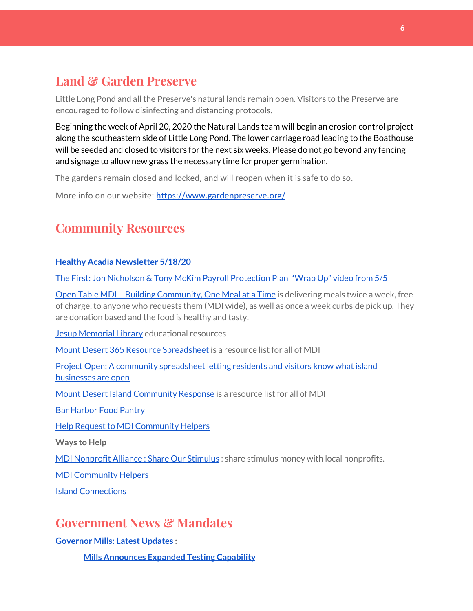## **Land & Garden Preserve**

Little Long Pond and all the Preserve's natural lands remain open. Visitors to the Preserve are encouraged to follow disinfecting and distancing protocols.

Beginning the week of April 20, 2020 the Natural Lands team will begin an erosion control project along the southeastern side of Little Long Pond. The lower carriage road leading to the Boathouse will be seeded and closed to visitors for the next six weeks. Please do not go beyond any fencing and signage to allow new grass the necessary time for proper germination.

The gardens remain closed and locked, and will reopen when it is safe to do so.

More info on our website: <https://www.gardenpreserve.org/>

## **Community Resources**

#### **Healthy Acadia [Newsletter](https://mailchi.mp/healthyacadia.org/may18_2020) 5/18/20**

The First: Jon Nicholson & Tony McKim Payroll [Protection](https://bit.ly/2WjDrd0) Plan "Wrap Up" video from 5/5

Open Table MDI – Building [Community,](https://www.opentablemdi.org/) One Meal at a Time is delivering meals twice a week, free of charge, to anyone who requests them (MDI wide), as well as once a week curbside pick up. They are donation based and the food is healthy and tasty.

Jesup [Memorial](https://jesuplibrary.org/) Library educational resources

Mount Desert 365 Resource [Spreadsheet](https://docs.google.com/spreadsheets/d/1okAx6HSsgXZY9CGH07Dzi6rqe7a6m4dLCPKot2Li7Ek/edit?usp=sharing) is a resource list for all of MDI

Project Open: A community [spreadsheet](https://docs.google.com/spreadsheets/d/1dBicBiBXGzzWEFd9oqL7EBDbFWjDCPl6SSMea_Kt4pc/htmlview#) letting residents and visitors know what island [businesses](https://docs.google.com/spreadsheets/d/1dBicBiBXGzzWEFd9oqL7EBDbFWjDCPl6SSMea_Kt4pc/htmlview#) are open

Mount Desert Island [Community](https://www.mdicr.org/) Response is a resource list for all of MDI

Bar [Harbor](https://www.barharborfoodpantry.org/) Food Pantry

Help Request to MDI [Community](https://docs.google.com/forms/d/e/1FAIpQLSeZfu0tCcthHc9oL7tPomVRdniYiE7nbT_kkK9iCSRgqDhOvQ/viewform) Helpers

**Ways to Help**

MDI [Nonprofit](https://sites.google.com/mdina.org/public/sos-mdi?authuser=0) Alliance : Share Our Stimulus : share stimulus money with local nonprofits.

MDI [Community](https://docs.google.com/forms/d/e/1FAIpQLSe_CJUFdVvwJkmymWRqUeK8bx3m7n4uSOuUPYHqXSAyH2DBoQ/viewform?fbclid=IwAR25hjnWGhnMP0lOWMcBPRBumhtQCJGZO4hlk-T-VjNGZljL1kVX5pWrL6U) Helpers

Island [Connections](http://islconnections.org/contact-us/)

#### **Government News & Mandates**

**[Governor](https://www.maine.gov/governor/mills/) Mills: Latest Updates :**

**Mills [Announces](https://www.maine.gov/governor/mills/news/maine-eliminates-testing-prioritization-expands-testing-anyone-suspected-having-covid-19-2020) Expanded Testing Capability**